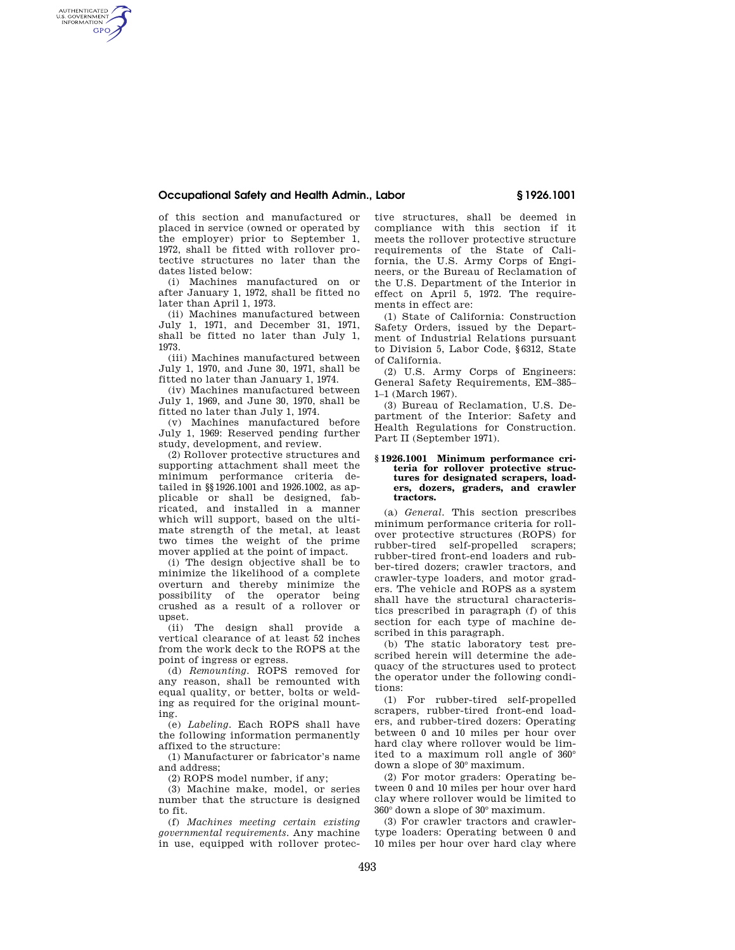## **Occupational Safety and Health Admin., Labor § 1926.1001**

of this section and manufactured or placed in service (owned or operated by the employer) prior to September 1, 1972, shall be fitted with rollover protective structures no later than the dates listed below:

AUTHENTICATED<br>U.S. GOVERNMENT<br>INFORMATION **GPO** 

> (i) Machines manufactured on or after January 1, 1972, shall be fitted no later than April 1, 1973.

> (ii) Machines manufactured between July 1, 1971, and December 31, 1971, shall be fitted no later than July 1, 1973.

> (iii) Machines manufactured between July 1, 1970, and June 30, 1971, shall be fitted no later than January 1, 1974.

> (iv) Machines manufactured between July 1, 1969, and June 30, 1970, shall be fitted no later than July 1, 1974.

> (v) Machines manufactured before July 1, 1969: Reserved pending further study, development, and review.

> (2) Rollover protective structures and supporting attachment shall meet the minimum performance criteria detailed in §§1926.1001 and 1926.1002, as applicable or shall be designed, fabricated, and installed in a manner which will support, based on the ultimate strength of the metal, at least two times the weight of the prime mover applied at the point of impact.

> (i) The design objective shall be to minimize the likelihood of a complete overturn and thereby minimize the possibility of the operator being crushed as a result of a rollover or upset.

> (ii) The design shall provide a vertical clearance of at least 52 inches from the work deck to the ROPS at the point of ingress or egress.

> (d) *Remounting.* ROPS removed for any reason, shall be remounted with equal quality, or better, bolts or welding as required for the original mounting.

> (e) *Labeling.* Each ROPS shall have the following information permanently affixed to the structure:

> (1) Manufacturer or fabricator's name and address;

(2) ROPS model number, if any;

(3) Machine make, model, or series number that the structure is designed to fit.

(f) *Machines meeting certain existing governmental requirements.* Any machine in use, equipped with rollover protective structures, shall be deemed in compliance with this section if it meets the rollover protective structure requirements of the State of California, the U.S. Army Corps of Engineers, or the Bureau of Reclamation of the U.S. Department of the Interior in effect on April 5, 1972. The requirements in effect are:

(1) State of California: Construction Safety Orders, issued by the Department of Industrial Relations pursuant to Division 5, Labor Code, §6312, State of California.

(2) U.S. Army Corps of Engineers: General Safety Requirements, EM–385– 1–1 (March 1967).

(3) Bureau of Reclamation, U.S. Department of the Interior: Safety and Health Regulations for Construction. Part II (September 1971).

### **§ 1926.1001 Minimum performance criteria for rollover protective structures for designated scrapers, loaders, dozers, graders, and crawler tractors.**

(a) *General.* This section prescribes minimum performance criteria for rollover protective structures (ROPS) for rubber-tired self-propelled scrapers; rubber-tired front-end loaders and rubber-tired dozers; crawler tractors, and crawler-type loaders, and motor graders. The vehicle and ROPS as a system shall have the structural characteristics prescribed in paragraph (f) of this section for each type of machine described in this paragraph.

(b) The static laboratory test prescribed herein will determine the adequacy of the structures used to protect the operator under the following conditions:

(1) For rubber-tired self-propelled scrapers, rubber-tired front-end loaders, and rubber-tired dozers: Operating between 0 and 10 miles per hour over hard clay where rollover would be limited to a maximum roll angle of 360° down a slope of 30° maximum.

(2) For motor graders: Operating between 0 and 10 miles per hour over hard clay where rollover would be limited to 360° down a slope of 30° maximum.

(3) For crawler tractors and crawlertype loaders: Operating between 0 and 10 miles per hour over hard clay where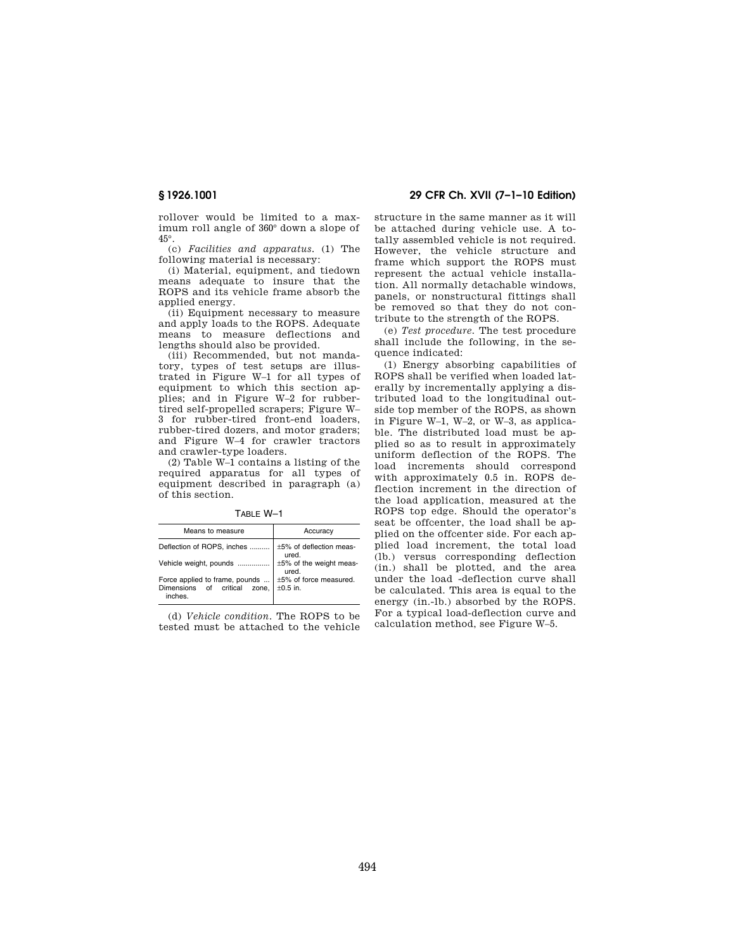rollover would be limited to a maximum roll angle of 360° down a slope of 45°.

(c) *Facilities and apparatus.* (1) The following material is necessary:

(i) Material, equipment, and tiedown means adequate to insure that the ROPS and its vehicle frame absorb the applied energy.

(ii) Equipment necessary to measure and apply loads to the ROPS. Adequate means to measure deflections and lengths should also be provided.

(iii) Recommended, but not mandatory, types of test setups are illustrated in Figure W–1 for all types of equipment to which this section applies; and in Figure W–2 for rubbertired self-propelled scrapers; Figure W– 3 for rubber-tired front-end loaders, rubber-tired dozers, and motor graders; and Figure W–4 for crawler tractors and crawler-type loaders.

(2) Table W–1 contains a listing of the required apparatus for all types of equipment described in paragraph (a) of this section.

TABLE W–1

| Means to measure                                                         | Accuracy                                |
|--------------------------------------------------------------------------|-----------------------------------------|
| Deflection of ROPS, inches                                               | ±5% of deflection meas-<br>ured.        |
| Vehicle weight, pounds                                                   | ±5% of the weight meas-<br>ured.        |
| Force applied to frame, pounds<br>Dimensions of critical zone,<br>inches | ±5% of force measured.<br>$\pm 0.5$ in. |

(d) *Vehicle condition.* The ROPS to be tested must be attached to the vehicle

## **§ 1926.1001 29 CFR Ch. XVII (7–1–10 Edition)**

structure in the same manner as it will be attached during vehicle use. A totally assembled vehicle is not required. However, the vehicle structure and frame which support the ROPS must represent the actual vehicle installation. All normally detachable windows, panels, or nonstructural fittings shall be removed so that they do not contribute to the strength of the ROPS.

(e) *Test procedure.* The test procedure shall include the following, in the sequence indicated:

(1) Energy absorbing capabilities of ROPS shall be verified when loaded laterally by incrementally applying a distributed load to the longitudinal outside top member of the ROPS, as shown in Figure W–1, W–2, or W–3, as applicable. The distributed load must be applied so as to result in approximately uniform deflection of the ROPS. The load increments should correspond with approximately 0.5 in. ROPS deflection increment in the direction of the load application, measured at the ROPS top edge. Should the operator's seat be offcenter, the load shall be applied on the offcenter side. For each applied load increment, the total load (lb.) versus corresponding deflection (in.) shall be plotted, and the area under the load -deflection curve shall be calculated. This area is equal to the energy (in.-lb.) absorbed by the ROPS. For a typical load-deflection curve and calculation method, see Figure W–5.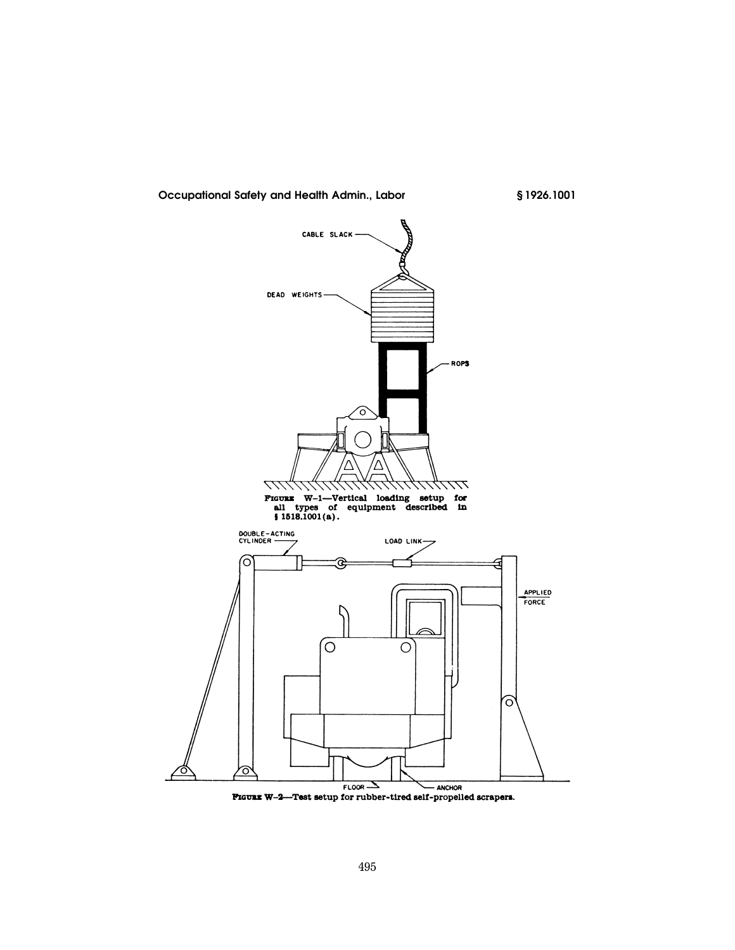

# **Occupational Safety and Health Admin., Labor § 1926.1001**

FIGURE W-2-Test setup for rubber-tired self-propelled scrapers.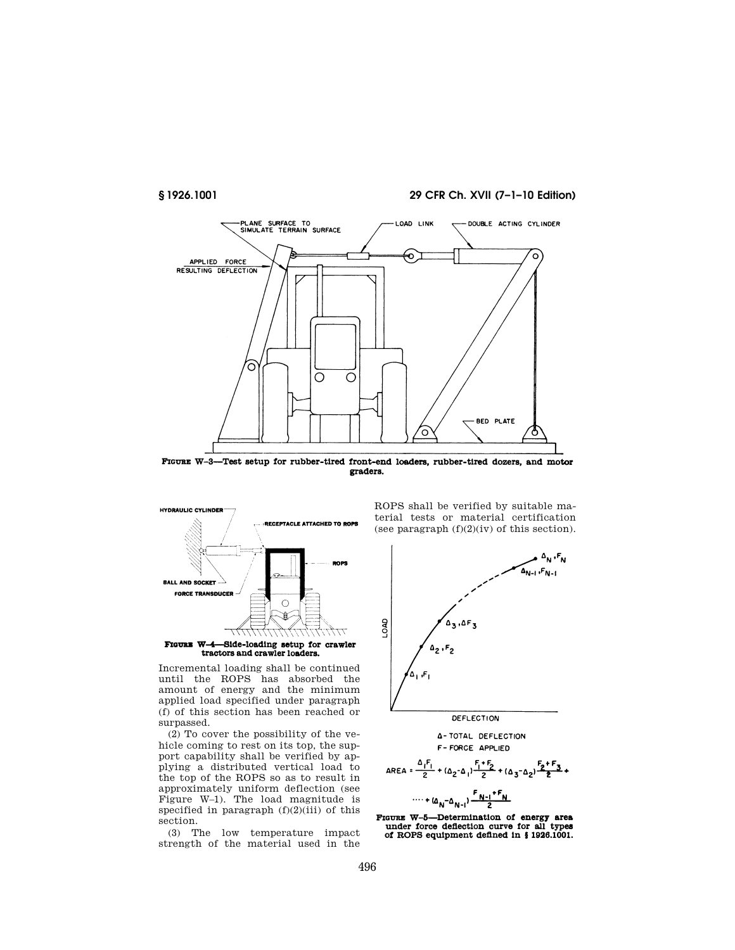**§ 1926.1001 29 CFR Ch. XVII (7–1–10 Edition)** 



FIGURE W-3-Test setup for rubber-tired front-end loaders, rubber-tired dozers, and motor graders.



tractors and crawler loaders.

Incremental loading shall be continued until the ROPS has absorbed the amount of energy and the minimum applied load specified under paragraph (f) of this section has been reached or surpassed.

(2) To cover the possibility of the vehicle coming to rest on its top, the support capability shall be verified by applying a distributed vertical load to the top of the ROPS so as to result in approximately uniform deflection (see Figure W–1). The load magnitude is specified in paragraph  $(f)(2)(iii)$  of this section.

(3) The low temperature impact strength of the material used in the

ROPS shall be verified by suitable material tests or material certification (see paragraph  $(f)(2)(iv)$  of this section).



**4-TOTAL DEFLECTION** F-FORCE APPLIED

$$
area = \frac{\Delta_1 F_1}{2} + (\Delta_2 - \Delta_1) \frac{F_1 + F_2}{2} + (\Delta_3 - \Delta_2) \frac{F_2 + F_3}{2} + \cdots + (\Delta_N - \Delta_{N-1}) \frac{F_{N-1} + F_N}{2}
$$

FIGURE W-5-Determination of energy area under force deflection curve for all types of ROPS equipment defined in § 1926.1001.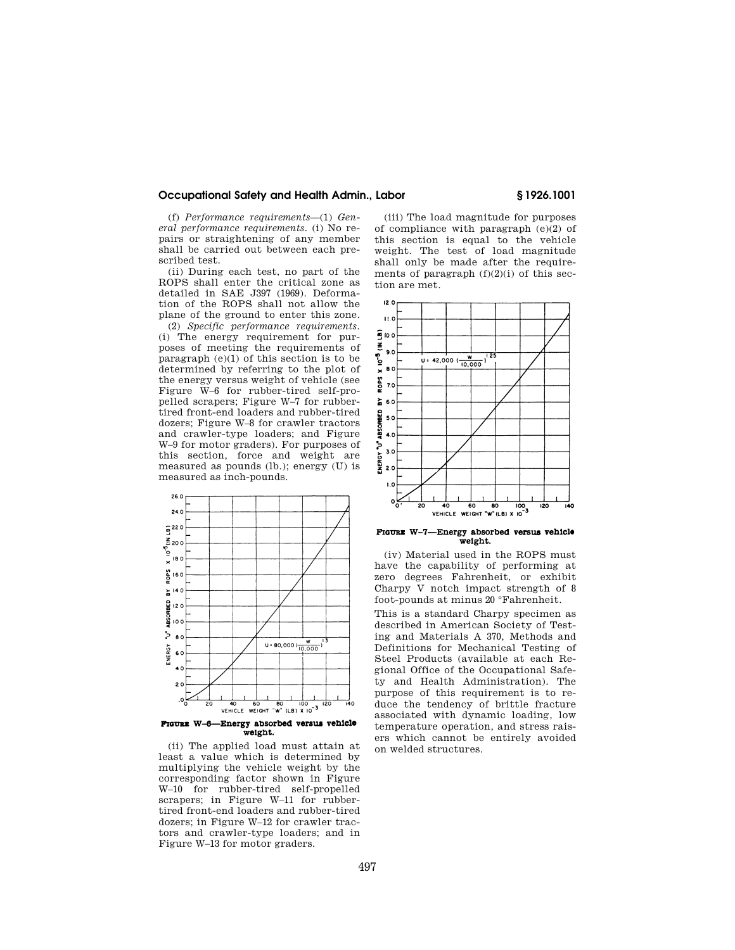# **Occupational Safety and Health Admin., Labor § 1926.1001**

(f) *Performance requirements*—(1) *General performance requirements.* (i) No repairs or straightening of any member shall be carried out between each prescribed test.

(ii) During each test, no part of the ROPS shall enter the critical zone as detailed in SAE J397 (1969). Deformation of the ROPS shall not allow the plane of the ground to enter this zone.

(2) *Specific performance requirements.*  (i) The energy requirement for purposes of meeting the requirements of paragraph  $(e)(1)$  of this section is to be determined by referring to the plot of the energy versus weight of vehicle (see Figure W–6 for rubber-tired self-propelled scrapers; Figure W–7 for rubbertired front-end loaders and rubber-tired dozers; Figure W–8 for crawler tractors and crawler-type loaders; and Figure W–9 for motor graders). For purposes of this section, force and weight are measured as pounds (lb.); energy (U) is measured as inch-pounds.



(ii) The applied load must attain at least a value which is determined by multiplying the vehicle weight by the corresponding factor shown in Figure W–10 for rubber-tired self-propelled scrapers; in Figure W–11 for rubbertired front-end loaders and rubber-tired dozers; in Figure W–12 for crawler tractors and crawler-type loaders; and in Figure W–13 for motor graders.

(iii) The load magnitude for purposes of compliance with paragraph (e)(2) of this section is equal to the vehicle weight. The test of load magnitude shall only be made after the requirements of paragraph  $(f)(2)(i)$  of this section are met.





(iv) Material used in the ROPS must have the capability of performing at zero degrees Fahrenheit, or exhibit Charpy V notch impact strength of 8 foot-pounds at minus 20 °Fahrenheit.

This is a standard Charpy specimen as described in American Society of Testing and Materials A 370, Methods and Definitions for Mechanical Testing of Steel Products (available at each Regional Office of the Occupational Safety and Health Administration). The purpose of this requirement is to reduce the tendency of brittle fracture associated with dynamic loading, low temperature operation, and stress raisers which cannot be entirely avoided on welded structures.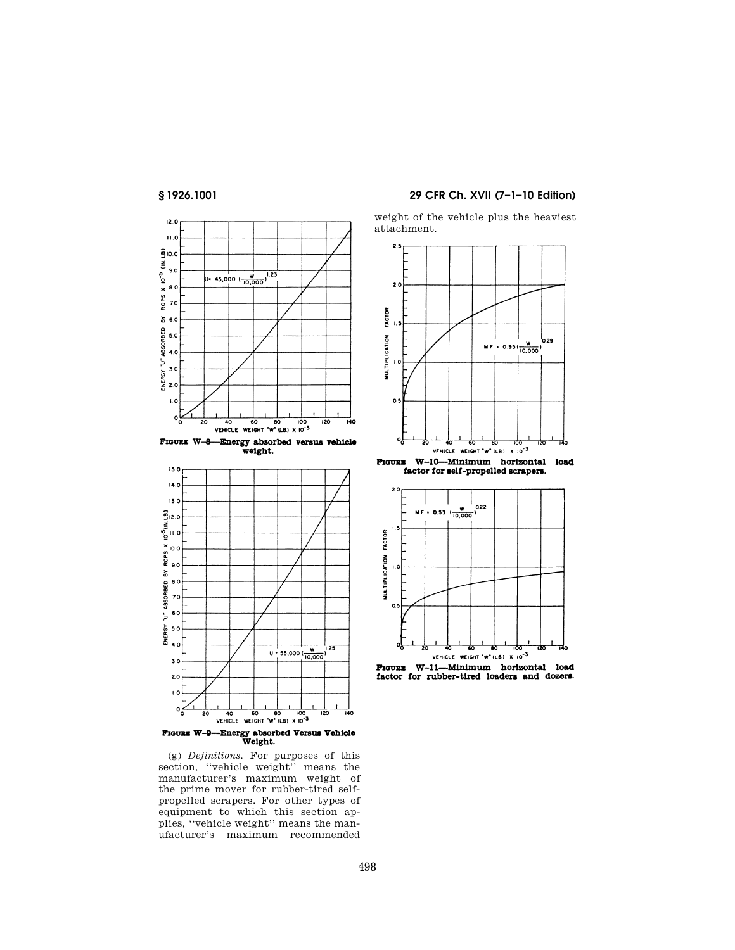



FIGURE W-8-Energy absorbed versus vehicle<br>weight.



**FIGURE W-9-Energy absorbed Versus Vehicle**<br>Weight.

(g) *Definitions.* For purposes of this section, ''vehicle weight'' means the manufacturer's maximum weight of the prime mover for rubber-tired selfpropelled scrapers. For other types of equipment to which this section applies, ''vehicle weight'' means the manufacturer's maximum recommended

# **§ 1926.1001 29 CFR Ch. XVII (7–1–10 Edition)**

weight of the vehicle plus the heaviest attachment.





FIGURE W-11-Minimum horizontal load factor for rubber-tired loaders and dozers.